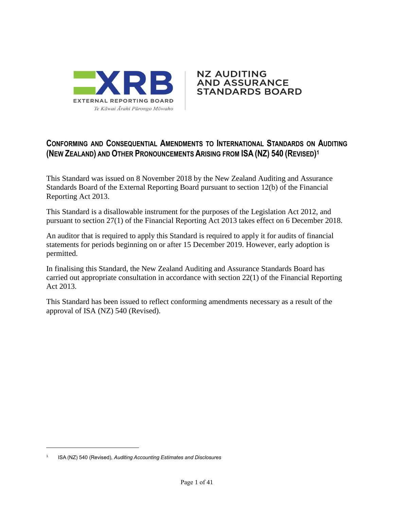



## **CONFORMING AND CONSEQUENTIAL AMENDMENTS TO INTERNATIONAL STANDARDS ON AUDITING (NEW ZEALAND) AND OTHER PRONOUNCEMENTS ARISING FROM ISA (NZ) 540 (REVISED) 1**

This Standard was issued on 8 November 2018 by the New Zealand Auditing and Assurance Standards Board of the External Reporting Board pursuant to section 12(b) of the Financial Reporting Act 2013.

This Standard is a disallowable instrument for the purposes of the Legislation Act 2012, and pursuant to section 27(1) of the Financial Reporting Act 2013 takes effect on 6 December 2018.

An auditor that is required to apply this Standard is required to apply it for audits of financial statements for periods beginning on or after 15 December 2019. However, early adoption is permitted.

In finalising this Standard, the New Zealand Auditing and Assurance Standards Board has carried out appropriate consultation in accordance with section 22(1) of the Financial Reporting Act 2013.

This Standard has been issued to reflect conforming amendments necessary as a result of the approval of ISA (NZ) 540 (Revised).

<sup>1</sup> ISA (NZ) 540 (Revised), *Auditing Accounting Estimates and Disclosures*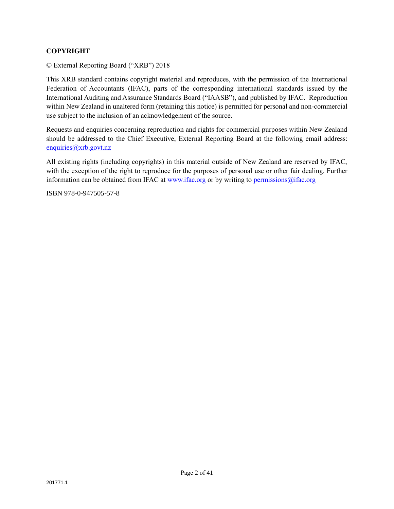### **COPYRIGHT**

© External Reporting Board ("XRB") 2018

This XRB standard contains copyright material and reproduces, with the permission of the International Federation of Accountants (IFAC), parts of the corresponding international standards issued by the International Auditing and Assurance Standards Board ("IAASB"), and published by IFAC. Reproduction within New Zealand in unaltered form (retaining this notice) is permitted for personal and non-commercial use subject to the inclusion of an acknowledgement of the source.

Requests and enquiries concerning reproduction and rights for commercial purposes within New Zealand should be addressed to the Chief Executive, External Reporting Board at the following email address: [enquiries@xrb.govt.nz](mailto:enquiries@xrb.govt.nz)

All existing rights (including copyrights) in this material outside of New Zealand are reserved by IFAC, with the exception of the right to reproduce for the purposes of personal use or other fair dealing. Further information can be obtained from IFAC at [www.ifac.org](http://www.ifac.org/) or by writing to permissions  $@$  ifac.org

ISBN 978-0-947505-57-8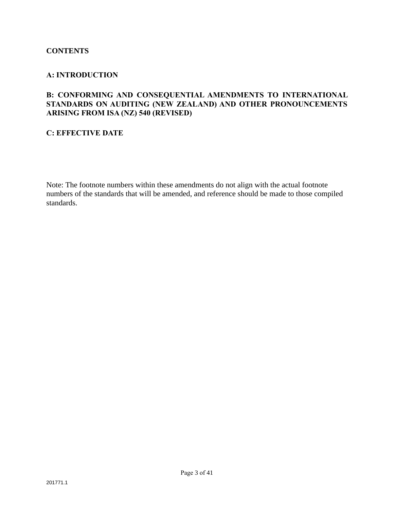### **CONTENTS**

### **A: INTRODUCTION**

### **B: CONFORMING AND CONSEQUENTIAL AMENDMENTS TO INTERNATIONAL STANDARDS ON AUDITING (NEW ZEALAND) AND OTHER PRONOUNCEMENTS ARISING FROM ISA (NZ) 540 (REVISED)**

#### **C: EFFECTIVE DATE**

Note: The footnote numbers within these amendments do not align with the actual footnote numbers of the standards that will be amended, and reference should be made to those compiled standards.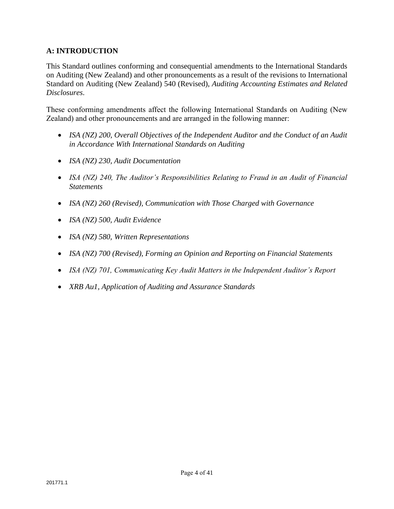### **A: INTRODUCTION**

This Standard outlines conforming and consequential amendments to the International Standards on Auditing (New Zealand) and other pronouncements as a result of the revisions to International Standard on Auditing (New Zealand) 540 (Revised), *Auditing Accounting Estimates and Related Disclosures*.

These conforming amendments affect the following International Standards on Auditing (New Zealand) and other pronouncements and are arranged in the following manner:

- *ISA (NZ) 200, Overall Objectives of the Independent Auditor and the Conduct of an Audit in Accordance With International Standards on Auditing*
- *ISA (NZ) 230, Audit Documentation*
- *ISA (NZ) 240, The Auditor's Responsibilities Relating to Fraud in an Audit of Financial Statements*
- *ISA (NZ) 260 (Revised), Communication with Those Charged with Governance*
- *ISA (NZ) 500, Audit Evidence*
- *ISA (NZ) 580, Written Representations*
- *ISA (NZ) 700 (Revised), Forming an Opinion and Reporting on Financial Statements*
- *ISA (NZ) 701, Communicating Key Audit Matters in the Independent Auditor's Report*
- *XRB Au1, Application of Auditing and Assurance Standards*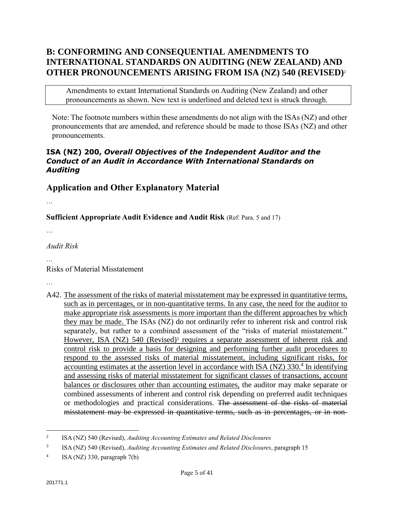## **B: CONFORMING AND CONSEQUENTIAL AMENDMENTS TO INTERNATIONAL STANDARDS ON AUDITING (NEW ZEALAND) AND OTHER PRONOUNCEMENTS ARISING FROM ISA (NZ) 540 (REVISED)**<sup>2</sup>

Amendments to extant International Standards on Auditing (New Zealand) and other pronouncements as shown. New text is underlined and deleted text is struck through.

Note: The footnote numbers within these amendments do not align with the ISAs (NZ) and other pronouncements that are amended, and reference should be made to those ISAs (NZ) and other pronouncements.

### **ISA (NZ) 200,** *Overall Objectives of the Independent Auditor and the Conduct of an Audit in Accordance With International Standards on Auditing*

## **Application and Other Explanatory Material**

…

**Sufficient Appropriate Audit Evidence and Audit Risk** (Ref: Para. 5 and 17)

…

*Audit Risk*

…

Risks of Material Misstatement

…

A42. The assessment of the risks of material misstatement may be expressed in quantitative terms, such as in percentages, or in non-quantitative terms. In any case, the need for the auditor to make appropriate risk assessments is more important than the different approaches by which they may be made. The ISAs (NZ) do not ordinarily refer to inherent risk and control risk separately, but rather to a combined assessment of the "risks of material misstatement." However, ISA (NZ) 540 (Revised)<sup>3</sup> requires a separate assessment of inherent risk and control risk to provide a basis for designing and performing further audit procedures to respond to the assessed risks of material misstatement, including significant risks, for accounting estimates at the assertion level in accordance with ISA (NZ) 330.<sup>4</sup> In identifying and assessing risks of material misstatement for significant classes of transactions, account balances or disclosures other than accounting estimates, the auditor may make separate or combined assessments of inherent and control risk depending on preferred audit techniques or methodologies and practical considerations. The assessment of the risks of material misstatement may be expressed in quantitative terms, such as in percentages, or in non-

<sup>2</sup> ISA (NZ) 540 (Revised), *Auditing Accounting Estimates and Related Disclosures*

<sup>3</sup> ISA (NZ) 540 (Revised), *Auditing Accounting Estimates and Related Disclosures*, paragraph 15

<sup>4</sup> ISA (NZ) 330, paragraph 7(b)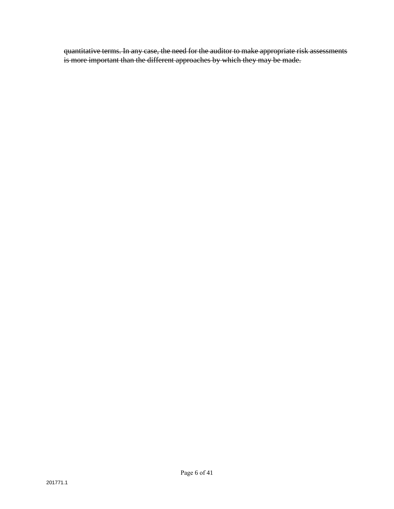quantitative terms. In any case, the need for the auditor to make appropriate risk assessments is more important than the different approaches by which they may be made.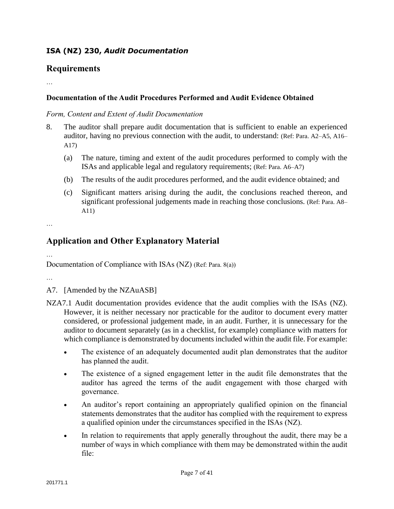## **ISA (NZ) 230,** *Audit Documentation*

## **Requirements**

…

### **Documentation of the Audit Procedures Performed and Audit Evidence Obtained**

#### *Form, Content and Extent of Audit Documentation*

- 8. The auditor shall prepare audit documentation that is sufficient to enable an experienced auditor, having no previous connection with the audit, to understand: (Ref: Para. A2–A5, A16– A17)
	- (a) The nature, timing and extent of the audit procedures performed to comply with the ISAs and applicable legal and regulatory requirements; (Ref: Para. A6–A7)
	- (b) The results of the audit procedures performed, and the audit evidence obtained; and
	- (c) Significant matters arising during the audit, the conclusions reached thereon, and significant professional judgements made in reaching those conclusions. (Ref: Para. A8– A11)

…

## **Application and Other Explanatory Material**

…

Documentation of Compliance with ISAs (NZ) (Ref: Para. 8(a))

…

A7. [Amended by the NZAuASB]

- NZA7.1 Audit documentation provides evidence that the audit complies with the ISAs (NZ). However, it is neither necessary nor practicable for the auditor to document every matter considered, or professional judgement made, in an audit. Further, it is unnecessary for the auditor to document separately (as in a checklist, for example) compliance with matters for which compliance is demonstrated by documents included within the audit file. For example:
	- The existence of an adequately documented audit plan demonstrates that the auditor has planned the audit.
	- The existence of a signed engagement letter in the audit file demonstrates that the auditor has agreed the terms of the audit engagement with those charged with governance.
	- An auditor's report containing an appropriately qualified opinion on the financial statements demonstrates that the auditor has complied with the requirement to express a qualified opinion under the circumstances specified in the ISAs (NZ).
	- In relation to requirements that apply generally throughout the audit, there may be a number of ways in which compliance with them may be demonstrated within the audit file: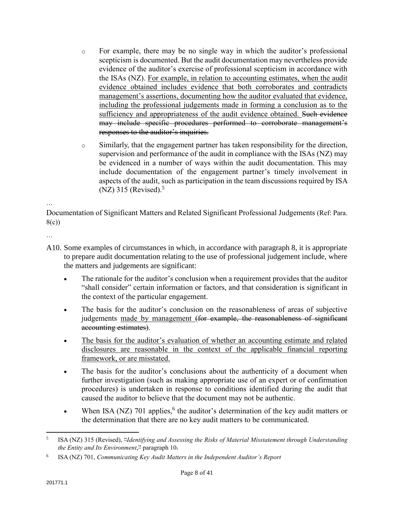- o For example, there may be no single way in which the auditor's professional scepticism is documented. But the audit documentation may nevertheless provide evidence of the auditor's exercise of professional scepticism in accordance with the ISAs (NZ). For example, in relation to accounting estimates, when the audit evidence obtained includes evidence that both corroborates and contradicts management's assertions, documenting how the auditor evaluated that evidence, including the professional judgements made in forming a conclusion as to the sufficiency and appropriateness of the audit evidence obtained. Such evidence may include specific procedures performed to corroborate management's responses to the auditor's inquiries.
- o Similarly, that the engagement partner has taken responsibility for the direction, supervision and performance of the audit in compliance with the ISAs (NZ) may be evidenced in a number of ways within the audit documentation. This may include documentation of the engagement partner's timely involvement in aspects of the audit, such as participation in the team discussions required by ISA (NZ) 315 (Revised).<sup>5</sup>

Documentation of Significant Matters and Related Significant Professional Judgements (Ref: Para. 8(c))

…

…

- A10. Some examples of circumstances in which, in accordance with paragraph 8, it is appropriate to prepare audit documentation relating to the use of professional judgement include, where the matters and judgements are significant:
	- The rationale for the auditor's conclusion when a requirement provides that the auditor "shall consider" certain information or factors, and that consideration is significant in the context of the particular engagement.
	- The basis for the auditor's conclusion on the reasonableness of areas of subjective judgements made by management (for example, the reasonableness of significant accounting estimates).
	- The basis for the auditor's evaluation of whether an accounting estimate and related disclosures are reasonable in the context of the applicable financial reporting framework, or are misstated.
	- The basis for the auditor's conclusions about the authenticity of a document when further investigation (such as making appropriate use of an expert or of confirmation procedures) is undertaken in response to conditions identified during the audit that caused the auditor to believe that the document may not be authentic.
	- When ISA (NZ) 701 applies,<sup>6</sup> the auditor's determination of the key audit matters or the determination that there are no key audit matters to be communicated.

<sup>5</sup> ISA (NZ) 315 (Revised), "*Identifying and Assessing the Risks of Material Misstatement through Understanding the Entity and Its Environment*,<sup>2</sup> paragraph 10.

<sup>6</sup> ISA (NZ) 701, *Communicating Key Audit Matters in the Independent Auditor's Report*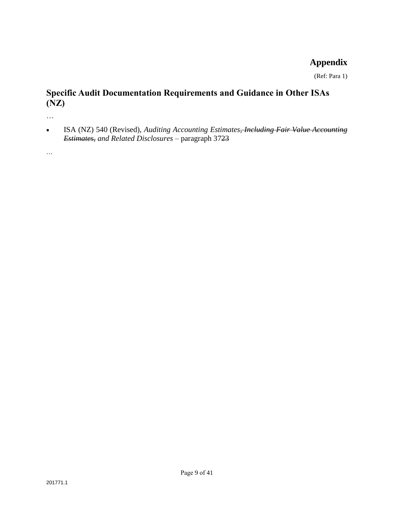# **Appendix**

(Ref: Para 1)

# **Specific Audit Documentation Requirements and Guidance in Other ISAs (NZ)**

…

• ISA (NZ) 540 (Revised), *Auditing Accounting Estimates, Including Fair Value Accounting Estimates, and Related Disclosures* – paragraph 3723

…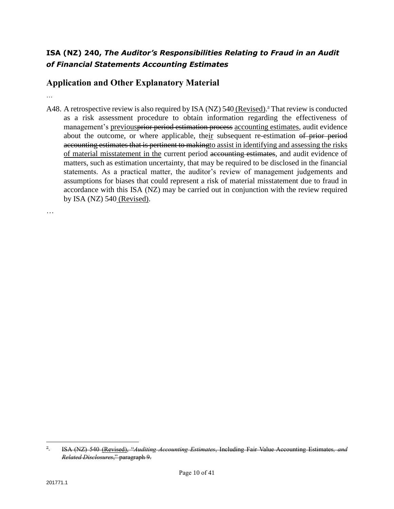## **ISA (NZ) 240,** *The Auditor's Responsibilities Relating to Fraud in an Audit of Financial Statements Accounting Estimates*

## **Application and Other Explanatory Material**

- …
- A48. A retrospective review is also required by ISA (NZ) 540 (Revised).<sup>7</sup> That review is conducted as a risk assessment procedure to obtain information regarding the effectiveness of management's previous prior period estimation process accounting estimates, audit evidence about the outcome, or where applicable, their subsequent re-estimation of prior period accounting estimates that is pertinent to makingto assist in identifying and assessing the risks of material misstatement in the current period accounting estimates, and audit evidence of matters, such as estimation uncertainty, that may be required to be disclosed in the financial statements. As a practical matter, the auditor's review of management judgements and assumptions for biases that could represent a risk of material misstatement due to fraud in accordance with this ISA (NZ) may be carried out in conjunction with the review required by ISA (NZ) 540 (Revised).

…

<sup>7</sup> ISA (NZ) 540 (Revised), "*Auditing Accounting Estimates*, Including Fair Value Accounting Estimates*, and Related Disclosures*," paragraph 9.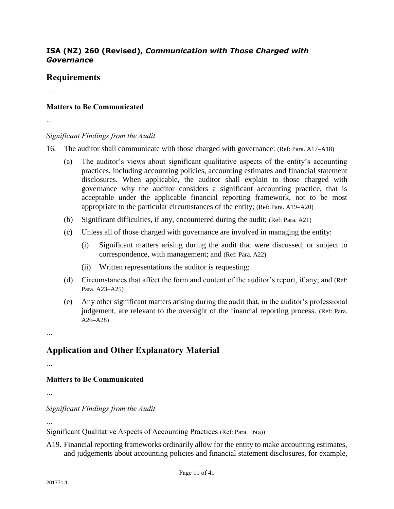## **ISA (NZ) 260 (Revised),** *Communication with Those Charged with Governance*

## **Requirements**

…

### **Matters to Be Communicated**

*…*

#### *Significant Findings from the Audit*

- 16. The auditor shall communicate with those charged with governance: (Ref: Para. A17–A18)
	- (a) The auditor's views about significant qualitative aspects of the entity's accounting practices, including accounting policies, accounting estimates and financial statement disclosures. When applicable, the auditor shall explain to those charged with governance why the auditor considers a significant accounting practice, that is acceptable under the applicable financial reporting framework, not to be most appropriate to the particular circumstances of the entity; (Ref: Para. A19–A20)
	- (b) Significant difficulties, if any, encountered during the audit; (Ref: Para. A21)
	- (c) Unless all of those charged with governance are involved in managing the entity:
		- (i) Significant matters arising during the audit that were discussed, or subject to correspondence, with management; and (Ref: Para. A22)
		- (ii) Written representations the auditor is requesting;
	- (d) Circumstances that affect the form and content of the auditor's report, if any; and (Ref: Para. A23–A25)
	- (e) Any other significant matters arising during the audit that, in the auditor's professional judgement, are relevant to the oversight of the financial reporting process. (Ref: Para. A26–A28)

…

# **Application and Other Explanatory Material**

…

## **Matters to Be Communicated**

…

*Significant Findings from the Audit*

…

Significant Qualitative Aspects of Accounting Practices (Ref: Para. 16(a))

A19. Financial reporting frameworks ordinarily allow for the entity to make accounting estimates, and judgements about accounting policies and financial statement disclosures, for example,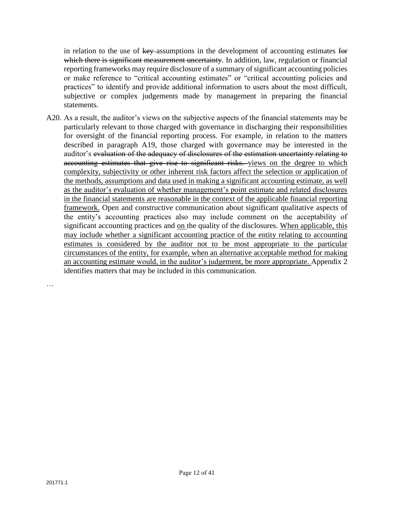in relation to the use of key-assumptions in the development of accounting estimates for which there is significant measurement uncertainty. In addition, law, regulation or financial reporting frameworks may require disclosure of a summary of significant accounting policies or make reference to "critical accounting estimates" or "critical accounting policies and practices" to identify and provide additional information to users about the most difficult, subjective or complex judgements made by management in preparing the financial statements.

A20. As a result, the auditor's views on the subjective aspects of the financial statements may be particularly relevant to those charged with governance in discharging their responsibilities for oversight of the financial reporting process. For example, in relation to the matters described in paragraph A19, those charged with governance may be interested in the auditor's evaluation of the adequacy of disclosures of the estimation uncertainty relating to accounting estimates that give rise to significant risks. views on the degree to which complexity, subjectivity or other inherent risk factors affect the selection or application of the methods, assumptions and data used in making a significant accounting estimate, as well as the auditor's evaluation of whether management's point estimate and related disclosures in the financial statements are reasonable in the context of the applicable financial reporting framework. Open and constructive communication about significant qualitative aspects of the entity's accounting practices also may include comment on the acceptability of significant accounting practices and on the quality of the disclosures. When applicable, this may include whether a significant accounting practice of the entity relating to accounting estimates is considered by the auditor not to be most appropriate to the particular circumstances of the entity, for example, when an alternative acceptable method for making an accounting estimate would, in the auditor's judgement, be more appropriate. Appendix 2 identifies matters that may be included in this communication.

…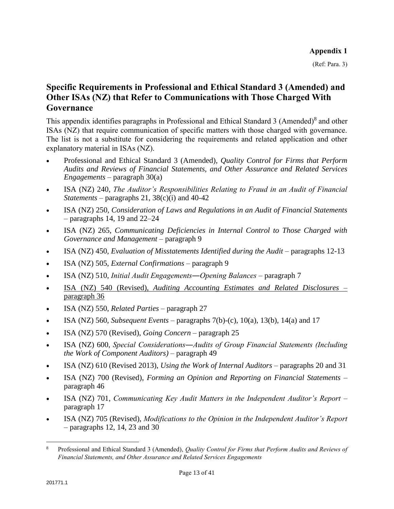## **Appendix 1**

(Ref: Para. 3)

## **Specific Requirements in Professional and Ethical Standard 3 (Amended) and Other ISAs (NZ) that Refer to Communications with Those Charged With Governance**

This appendix identifies paragraphs in Professional and Ethical Standard 3 (Amended)<sup>8</sup> and other ISAs (NZ) that require communication of specific matters with those charged with governance. The list is not a substitute for considering the requirements and related application and other explanatory material in ISAs (NZ).

- Professional and Ethical Standard 3 (Amended), *Quality Control for Firms that Perform Audits and Reviews of Financial Statements, and Other Assurance and Related Services Engagements* – paragraph 30(a)
- ISA (NZ) 240, *The Auditor's Responsibilities Relating to Fraud in an Audit of Financial Statements* – paragraphs 21, 38(c)(i) and 40-42
- ISA (NZ) 250, *Consideration of Laws and Regulations in an Audit of Financial Statements*  $-$  paragraphs 14, 19 and 22–24
- ISA (NZ) 265, *Communicating Deficiencies in Internal Control to Those Charged with Governance and Management* – paragraph 9
- ISA (NZ) 450, *Evaluation of Misstatements Identified during the Audit* paragraphs 12-13
- ISA (NZ) 505, *External Confirmations* paragraph 9
- ISA (NZ) 510, *Initial Audit Engagements―Opening Balances* paragraph 7
- ISA (NZ) 540 (Revised), *Auditing Accounting Estimates and Related Disclosures –* paragraph 36
- ISA (NZ) 550, *Related Parties* paragraph 27
- ISA (NZ) 560, *Subsequent Events* paragraphs 7(b)-(c), 10(a), 13(b), 14(a) and 17
- ISA (NZ) 570 (Revised), *Going Concern* paragraph 25
- ISA (NZ) 600, *Special Considerations―Audits of Group Financial Statements (Including the Work of Component Auditors)* – paragraph 49
- ISA (NZ) 610 (Revised 2013), *Using the Work of Internal Auditors* paragraphs 20 and 31
- ISA (NZ) 700 (Revised), *Forming an Opinion and Reporting on Financial Statements* paragraph 46
- ISA (NZ) 701, *Communicating Key Audit Matters in the Independent Auditor's Report* paragraph 17
- ISA (NZ) 705 (Revised), *Modifications to the Opinion in the Independent Auditor's Report* – paragraphs 12, 14, 23 and 30

<sup>8</sup> Professional and Ethical Standard 3 (Amended), *Quality Control for Firms that Perform Audits and Reviews of Financial Statements, and Other Assurance and Related Services Engagements*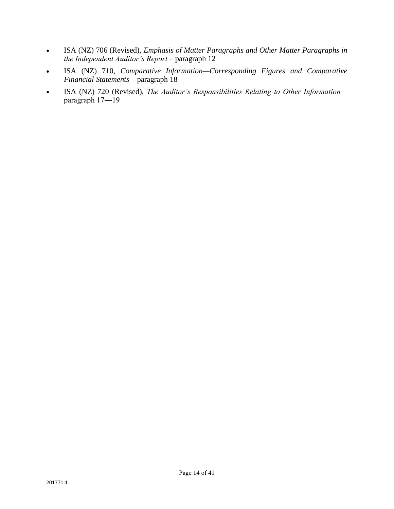- ISA (NZ) 706 (Revised), *Emphasis of Matter Paragraphs and Other Matter Paragraphs in the Independent Auditor's Report* – paragraph 12
- ISA (NZ) 710, *Comparative Information—Corresponding Figures and Comparative Financial Statements* – paragraph 18
- ISA (NZ) 720 (Revised), *The Auditor's Responsibilities Relating to Other Information* paragraph 17―19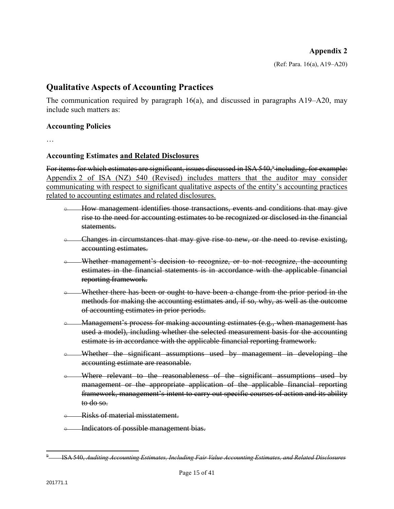### **Appendix 2**

(Ref: Para. 16(a), A19–A20)

## **Qualitative Aspects of Accounting Practices**

The communication required by paragraph 16(a), and discussed in paragraphs A19–A20, may include such matters as:

#### **Accounting Policies**

…

#### **Accounting Estimates and Related Disclosures**

For items for which estimates are significant, issues discussed in ISA 540,<sup>9</sup> including, for example: Appendix 2 of ISA (NZ) 540 (Revised) includes matters that the auditor may consider communicating with respect to significant qualitative aspects of the entity's accounting practices related to accounting estimates and related disclosures.

- How management identifies those transactions, events and conditions that may give rise to the need for accounting estimates to be recognized or disclosed in the financial statements.
- Changes in circumstances that may give rise to new, or the need to revise existing, accounting estimates.
- Whether management's decision to recognize, or to not recognize, the accounting estimates in the financial statements is in accordance with the applicable financial reporting framework.
- Whether there has been or ought to have been a change from the prior period in the methods for making the accounting estimates and, if so, why, as well as the outcome of accounting estimates in prior periods.
- -Management's process for making accounting estimates (e.g., when management has used a model), including whether the selected measurement basis for the accounting estimate is in accordance with the applicable financial reporting framework.
- Whether the significant assumptions used by management in developing the accounting estimate are reasonable.
- Where relevant to the reasonableness of the significant assumptions used by management or the appropriate application of the applicable financial reporting framework, management's intent to carry out specific courses of action and its ability to do so.
- **Risks of material misstatement.**
- **Indicators of possible management bias.**

 $\overline{a}$ 9 ISA 540, *Auditing Accounting Estimates, Including Fair Value Accounting Estimates, and Related Disclosures*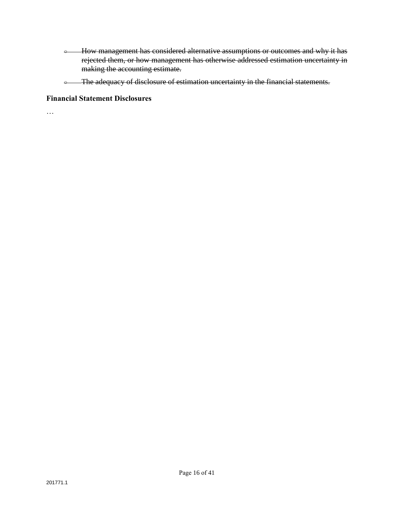- How management has considered alternative assumptions or outcomes and why it has rejected them, or how management has otherwise addressed estimation uncertainty in making the accounting estimate.
- The adequacy of disclosure of estimation uncertainty in the financial statements.

#### **Financial Statement Disclosures**

…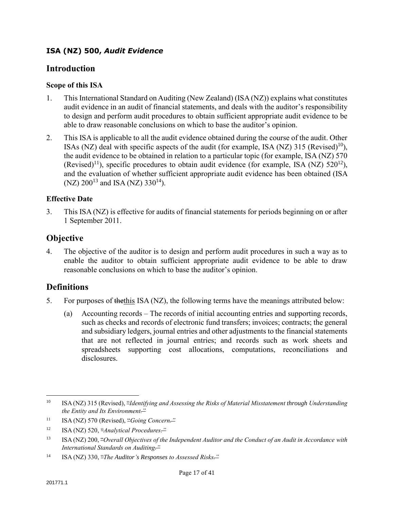## **ISA (NZ) 500,** *Audit Evidence*

## **Introduction**

### **Scope of this ISA**

- 1. This International Standard on Auditing (New Zealand) (ISA(NZ)) explains what constitutes audit evidence in an audit of financial statements, and deals with the auditor's responsibility to design and perform audit procedures to obtain sufficient appropriate audit evidence to be able to draw reasonable conclusions on which to base the auditor's opinion.
- 2. This ISA is applicable to all the audit evidence obtained during the course of the audit. Other ISAs (NZ) deal with specific aspects of the audit (for example, ISA (NZ) 315 (Revised)<sup>10</sup>), the audit evidence to be obtained in relation to a particular topic (for example, ISA (NZ) 570 (Revised)<sup>11</sup>), specific procedures to obtain audit evidence (for example, ISA (NZ)  $520^{12}$ ), and the evaluation of whether sufficient appropriate audit evidence has been obtained (ISA  $(NZ)$  200<sup>13</sup> and ISA (NZ) 330<sup>14</sup>).

### **Effective Date**

3. This ISA (NZ) is effective for audits of financial statements for periods beginning on or after 1 September 2011.

## **Objective**

4. The objective of the auditor is to design and perform audit procedures in such a way as to enable the auditor to obtain sufficient appropriate audit evidence to be able to draw reasonable conclusions on which to base the auditor's opinion.

## **Definitions**

- 5. For purposes of thethis ISA (NZ), the following terms have the meanings attributed below:
	- (a) Accounting records The records of initial accounting entries and supporting records, such as checks and records of electronic fund transfers; invoices; contracts; the general and subsidiary ledgers, journal entries and other adjustments to the financial statements that are not reflected in journal entries; and records such as work sheets and spreadsheets supporting cost allocations, computations, reconciliations and disclosures.

 $\overline{a}$ <sup>10</sup> ISA (NZ) 315 (Revised), "*Identifying and Assessing the Risks of Material Misstatement through Understanding the Entity and Its Environment."*

<sup>11</sup> ISA (NZ) 570 (Revised), "*Going Concern."*

<sup>12</sup> ISA (NZ) 520, "*Analytical Procedures."*

<sup>13</sup> ISA (NZ) 200, "*Overall Objectives of the Independent Auditor and the Conduct of an Audit in Accordance with International Standards on Auditing."*

<sup>14</sup> ISA (NZ) 330, "*The Auditor's Responses to Assessed Risks."*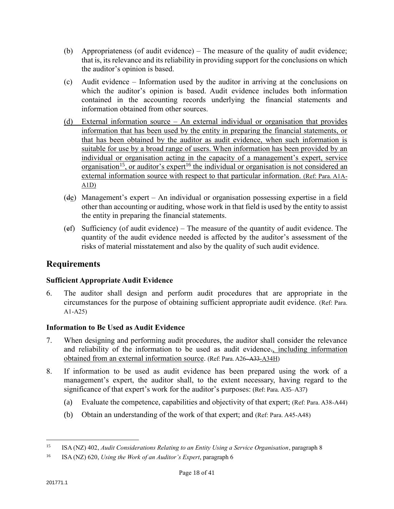- (b) Appropriateness (of audit evidence) The measure of the quality of audit evidence; that is, its relevance and its reliability in providing support for the conclusions on which the auditor's opinion is based.
- (c) Audit evidence Information used by the auditor in arriving at the conclusions on which the auditor's opinion is based. Audit evidence includes both information contained in the accounting records underlying the financial statements and information obtained from other sources.
- (d) External information source An external individual or organisation that provides information that has been used by the entity in preparing the financial statements, or that has been obtained by the auditor as audit evidence, when such information is suitable for use by a broad range of users. When information has been provided by an individual or organisation acting in the capacity of a management's expert, service organisation<sup>15</sup>, or auditor's expert<sup>16</sup> the individual or organisation is not considered an external information source with respect to that particular information. (Ref: Para. A1A-A1D)
- (de) Management's expert An individual or organisation possessing expertise in a field other than accounting or auditing, whose work in that field is used by the entity to assist the entity in preparing the financial statements.
- (ef) Sufficiency (of audit evidence) The measure of the quantity of audit evidence. The quantity of the audit evidence needed is affected by the auditor's assessment of the risks of material misstatement and also by the quality of such audit evidence.

## **Requirements**

## **Sufficient Appropriate Audit Evidence**

6. The auditor shall design and perform audit procedures that are appropriate in the circumstances for the purpose of obtaining sufficient appropriate audit evidence. (Ref: Para. A1-A25)

## **Information to Be Used as Audit Evidence**

- 7. When designing and performing audit procedures, the auditor shall consider the relevance and reliability of the information to be used as audit evidence., including information obtained from an external information source. (Ref: Para. A26–A33-A34H)
- 8. If information to be used as audit evidence has been prepared using the work of a management's expert, the auditor shall, to the extent necessary, having regard to the significance of that expert's work for the auditor's purposes: (Ref: Para. A35–A37)
	- (a) Evaluate the competence, capabilities and objectivity of that expert; (Ref: Para. A38-A44)
	- (b) Obtain an understanding of the work of that expert; and (Ref: Para. A45-A48)

<sup>15</sup> ISA (NZ) 402, *Audit Considerations Relating to an Entity Using a Service Organisation*, paragraph 8

<sup>16</sup> ISA (NZ) 620, *Using the Work of an Auditor's Expert*, paragraph 6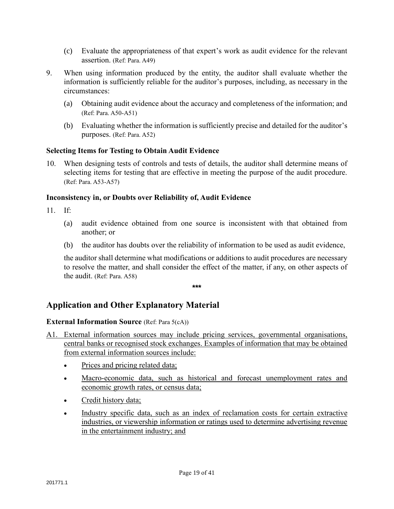- (c) Evaluate the appropriateness of that expert's work as audit evidence for the relevant assertion. (Ref: Para. A49)
- 9. When using information produced by the entity, the auditor shall evaluate whether the information is sufficiently reliable for the auditor's purposes, including, as necessary in the circumstances:
	- (a) Obtaining audit evidence about the accuracy and completeness of the information; and (Ref: Para. A50-A51)
	- (b) Evaluating whether the information is sufficiently precise and detailed for the auditor's purposes. (Ref: Para. A52)

### **Selecting Items for Testing to Obtain Audit Evidence**

10. When designing tests of controls and tests of details, the auditor shall determine means of selecting items for testing that are effective in meeting the purpose of the audit procedure. (Ref: Para. A53-A57)

#### **Inconsistency in, or Doubts over Reliability of, Audit Evidence**

- 11. If:
	- (a) audit evidence obtained from one source is inconsistent with that obtained from another; or
	- (b) the auditor has doubts over the reliability of information to be used as audit evidence,

the auditor shall determine what modifications or additions to audit procedures are necessary to resolve the matter, and shall consider the effect of the matter, if any, on other aspects of the audit. (Ref: Para. A58)

**\*\*\***

# **Application and Other Explanatory Material**

#### **External Information Source** (Ref: Para 5(cA))

- A1. External information sources may include pricing services, governmental organisations, central banks or recognised stock exchanges. Examples of information that may be obtained from external information sources include:
	- Prices and pricing related data;
	- Macro-economic data, such as historical and forecast unemployment rates and economic growth rates, or census data;
	- Credit history data;
	- Industry specific data, such as an index of reclamation costs for certain extractive industries, or viewership information or ratings used to determine advertising revenue in the entertainment industry; and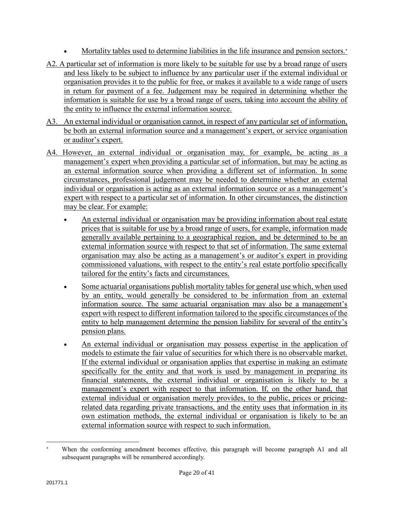- Mortality tables used to determine liabilities in the life insurance and pension sectors.<sup>\*</sup>
- A2. A particular set of information is more likely to be suitable for use by a broad range of users and less likely to be subject to influence by any particular user if the external individual or organisation provides it to the public for free, or makes it available to a wide range of users in return for payment of a fee. Judgement may be required in determining whether the information is suitable for use by a broad range of users, taking into account the ability of the entity to influence the external information source.
- A3. An external individual or organisation cannot, in respect of any particular set of information, be both an external information source and a management's expert, or service organisation or auditor's expert.
- A4. However, an external individual or organisation may, for example, be acting as a management's expert when providing a particular set of information, but may be acting as an external information source when providing a different set of information. In some circumstances, professional judgement may be needed to determine whether an external individual or organisation is acting as an external information source or as a management's expert with respect to a particular set of information. In other circumstances, the distinction may be clear. For example:
	- An external individual or organisation may be providing information about real estate prices that is suitable for use by a broad range of users, for example, information made generally available pertaining to a geographical region, and be determined to be an external information source with respect to that set of information. The same external organisation may also be acting as a management's or auditor's expert in providing commissioned valuations, with respect to the entity's real estate portfolio specifically tailored for the entity's facts and circumstances.
	- Some actuarial organisations publish mortality tables for general use which, when used by an entity, would generally be considered to be information from an external information source. The same actuarial organisation may also be a management's expert with respect to different information tailored to the specific circumstances of the entity to help management determine the pension liability for several of the entity's pension plans.
	- An external individual or organisation may possess expertise in the application of models to estimate the fair value of securities for which there is no observable market. If the external individual or organisation applies that expertise in making an estimate specifically for the entity and that work is used by management in preparing its financial statements, the external individual or organisation is likely to be a management's expert with respect to that information. If, on the other hand, that external individual or organisation merely provides, to the public, prices or pricingrelated data regarding private transactions, and the entity uses that information in its own estimation methods, the external individual or organisation is likely to be an external information source with respect to such information.

 $\overline{a}$  When the conforming amendment becomes effective, this paragraph will become paragraph A1 and all subsequent paragraphs will be renumbered accordingly.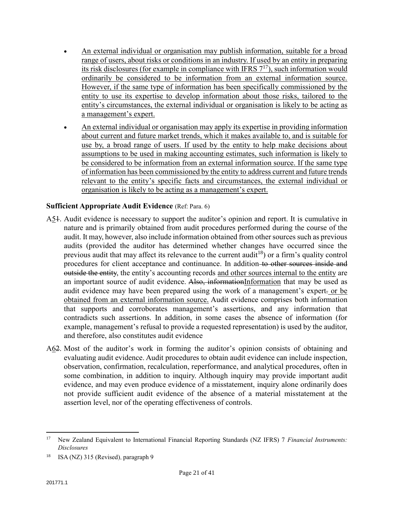- An external individual or organisation may publish information, suitable for a broad range of users, about risks or conditions in an industry. If used by an entity in preparing its risk disclosures (for example in compliance with IFRS  $7<sup>17</sup>$ ), such information would ordinarily be considered to be information from an external information source. However, if the same type of information has been specifically commissioned by the entity to use its expertise to develop information about those risks, tailored to the entity's circumstances, the external individual or organisation is likely to be acting as a management's expert.
- An external individual or organisation may apply its expertise in providing information about current and future market trends, which it makes available to, and is suitable for use by, a broad range of users. If used by the entity to help make decisions about assumptions to be used in making accounting estimates, such information is likely to be considered to be information from an external information source. If the same type of information has been commissioned by the entity to address current and future trends relevant to the entity's specific facts and circumstances, the external individual or organisation is likely to be acting as a management's expert.

#### **Sufficient Appropriate Audit Evidence** (Ref: Para. 6)

- A51. Audit evidence is necessary to support the auditor's opinion and report. It is cumulative in nature and is primarily obtained from audit procedures performed during the course of the audit. It may, however, also include information obtained from other sources such as previous audits (provided the auditor has determined whether changes have occurred since the previous audit that may affect its relevance to the current audit<sup>18</sup>) or a firm's quality control procedures for client acceptance and continuance. In addition to other sources inside and outside the entity, the entity's accounting records and other sources internal to the entity are an important source of audit evidence. Also, informationInformation that may be used as audit evidence may have been prepared using the work of a management's expert. or be obtained from an external information source. Audit evidence comprises both information that supports and corroborates management's assertions, and any information that contradicts such assertions. In addition, in some cases the absence of information (for example, management's refusal to provide a requested representation) is used by the auditor, and therefore, also constitutes audit evidence
- A62. Most of the auditor's work in forming the auditor's opinion consists of obtaining and evaluating audit evidence. Audit procedures to obtain audit evidence can include inspection, observation, confirmation, recalculation, reperformance, and analytical procedures, often in some combination, in addition to inquiry. Although inquiry may provide important audit evidence, and may even produce evidence of a misstatement, inquiry alone ordinarily does not provide sufficient audit evidence of the absence of a material misstatement at the assertion level, nor of the operating effectiveness of controls.

<sup>17</sup> New Zealand Equivalent to International Financial Reporting Standards (NZ IFRS) 7 *Financial Instruments: Disclosures*

<sup>18</sup> ISA (NZ) 315 (Revised), paragraph 9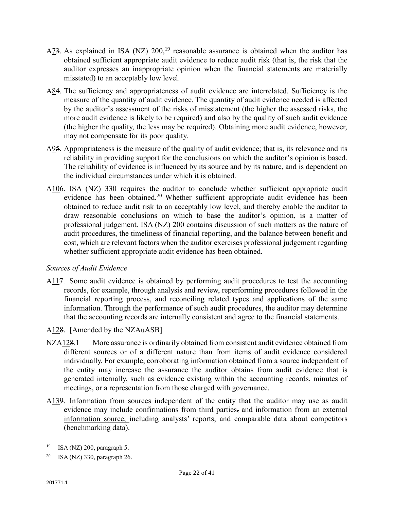- A73. As explained in ISA (NZ)  $200$ ,<sup>19</sup> reasonable assurance is obtained when the auditor has obtained sufficient appropriate audit evidence to reduce audit risk (that is, the risk that the auditor expresses an inappropriate opinion when the financial statements are materially misstated) to an acceptably low level.
- A84. The sufficiency and appropriateness of audit evidence are interrelated. Sufficiency is the measure of the quantity of audit evidence. The quantity of audit evidence needed is affected by the auditor's assessment of the risks of misstatement (the higher the assessed risks, the more audit evidence is likely to be required) and also by the quality of such audit evidence (the higher the quality, the less may be required). Obtaining more audit evidence, however, may not compensate for its poor quality.
- A95. Appropriateness is the measure of the quality of audit evidence; that is, its relevance and its reliability in providing support for the conclusions on which the auditor's opinion is based. The reliability of evidence is influenced by its source and by its nature, and is dependent on the individual circumstances under which it is obtained.
- A106. ISA (NZ) 330 requires the auditor to conclude whether sufficient appropriate audit evidence has been obtained.<sup>20</sup> Whether sufficient appropriate audit evidence has been obtained to reduce audit risk to an acceptably low level, and thereby enable the auditor to draw reasonable conclusions on which to base the auditor's opinion, is a matter of professional judgement. ISA (NZ) 200 contains discussion of such matters as the nature of audit procedures, the timeliness of financial reporting, and the balance between benefit and cost, which are relevant factors when the auditor exercises professional judgement regarding whether sufficient appropriate audit evidence has been obtained.

#### *Sources of Audit Evidence*

- A117. Some audit evidence is obtained by performing audit procedures to test the accounting records, for example, through analysis and review, reperforming procedures followed in the financial reporting process, and reconciling related types and applications of the same information. Through the performance of such audit procedures, the auditor may determine that the accounting records are internally consistent and agree to the financial statements.
- A128. [Amended by the NZAuASB]
- NZA128.1 More assurance is ordinarily obtained from consistent audit evidence obtained from different sources or of a different nature than from items of audit evidence considered individually. For example, corroborating information obtained from a source independent of the entity may increase the assurance the auditor obtains from audit evidence that is generated internally, such as evidence existing within the accounting records, minutes of meetings, or a representation from those charged with governance.
- A139. Information from sources independent of the entity that the auditor may use as audit evidence may include confirmations from third parties, and information from an external information source, including analysts' reports, and comparable data about competitors (benchmarking data).

<sup>&</sup>lt;sup>19</sup> ISA (NZ) 200, paragraph 5-

<sup>&</sup>lt;sup>20</sup> ISA (NZ) 330, paragraph  $26$ .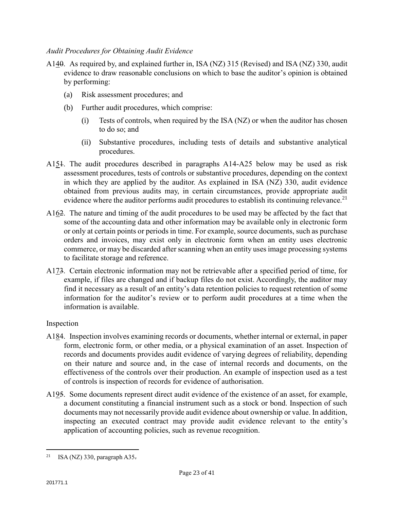#### *Audit Procedures for Obtaining Audit Evidence*

- A140. As required by, and explained further in, ISA (NZ) 315 (Revised) and ISA (NZ) 330, audit evidence to draw reasonable conclusions on which to base the auditor's opinion is obtained by performing:
	- (a) Risk assessment procedures; and
	- (b) Further audit procedures, which comprise:
		- (i) Tests of controls, when required by the ISA (NZ) or when the auditor has chosen to do so; and
		- (ii) Substantive procedures, including tests of details and substantive analytical procedures.
- A151. The audit procedures described in paragraphs A14-A25 below may be used as risk assessment procedures, tests of controls or substantive procedures, depending on the context in which they are applied by the auditor. As explained in ISA (NZ) 330, audit evidence obtained from previous audits may, in certain circumstances, provide appropriate audit evidence where the auditor performs audit procedures to establish its continuing relevance.<sup>21</sup>
- A162. The nature and timing of the audit procedures to be used may be affected by the fact that some of the accounting data and other information may be available only in electronic form or only at certain points or periods in time. For example, source documents, such as purchase orders and invoices, may exist only in electronic form when an entity uses electronic commerce, or may be discarded after scanning when an entity uses image processing systems to facilitate storage and reference.
- A173. Certain electronic information may not be retrievable after a specified period of time, for example, if files are changed and if backup files do not exist. Accordingly, the auditor may find it necessary as a result of an entity's data retention policies to request retention of some information for the auditor's review or to perform audit procedures at a time when the information is available.

#### Inspection

- A184. Inspection involves examining records or documents, whether internal or external, in paper form, electronic form, or other media, or a physical examination of an asset. Inspection of records and documents provides audit evidence of varying degrees of reliability, depending on their nature and source and, in the case of internal records and documents, on the effectiveness of the controls over their production. An example of inspection used as a test of controls is inspection of records for evidence of authorisation.
- A195. Some documents represent direct audit evidence of the existence of an asset, for example, a document constituting a financial instrument such as a stock or bond. Inspection of such documents may not necessarily provide audit evidence about ownership or value. In addition, inspecting an executed contract may provide audit evidence relevant to the entity's application of accounting policies, such as revenue recognition.

<sup>&</sup>lt;sup>21</sup> ISA (NZ) 330, paragraph  $A35$ .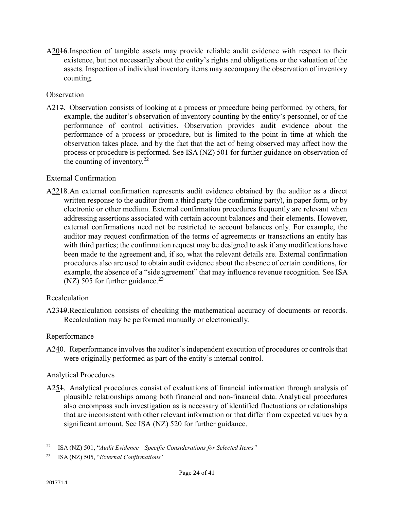A2016.Inspection of tangible assets may provide reliable audit evidence with respect to their existence, but not necessarily about the entity's rights and obligations or the valuation of the assets. Inspection of individual inventory items may accompany the observation of inventory counting.

### **Observation**

A217. Observation consists of looking at a process or procedure being performed by others, for example, the auditor's observation of inventory counting by the entity's personnel, or of the performance of control activities. Observation provides audit evidence about the performance of a process or procedure, but is limited to the point in time at which the observation takes place, and by the fact that the act of being observed may affect how the process or procedure is performed. See ISA (NZ) 501 for further guidance on observation of the counting of inventory. $22$ 

## External Confirmation

A2218.An external confirmation represents audit evidence obtained by the auditor as a direct written response to the auditor from a third party (the confirming party), in paper form, or by electronic or other medium. External confirmation procedures frequently are relevant when addressing assertions associated with certain account balances and their elements. However, external confirmations need not be restricted to account balances only. For example, the auditor may request confirmation of the terms of agreements or transactions an entity has with third parties; the confirmation request may be designed to ask if any modifications have been made to the agreement and, if so, what the relevant details are. External confirmation procedures also are used to obtain audit evidence about the absence of certain conditions, for example, the absence of a "side agreement" that may influence revenue recognition. See ISA (NZ) 505 for further guidance. $^{23}$ 

#### Recalculation

A2319.Recalculation consists of checking the mathematical accuracy of documents or records. Recalculation may be performed manually or electronically.

## Reperformance

A240. Reperformance involves the auditor's independent execution of procedures or controls that were originally performed as part of the entity's internal control.

#### Analytical Procedures

A251. Analytical procedures consist of evaluations of financial information through analysis of plausible relationships among both financial and non-financial data. Analytical procedures also encompass such investigation as is necessary of identified fluctuations or relationships that are inconsistent with other relevant information or that differ from expected values by a significant amount. See ISA (NZ) 520 for further guidance.

<sup>&</sup>lt;sup>22</sup> ISA (NZ) 501, "*Audit Evidence—Specific Considerations for Selected Items*"

<sup>23</sup> ISA (NZ) 505, "*External Confirmations"*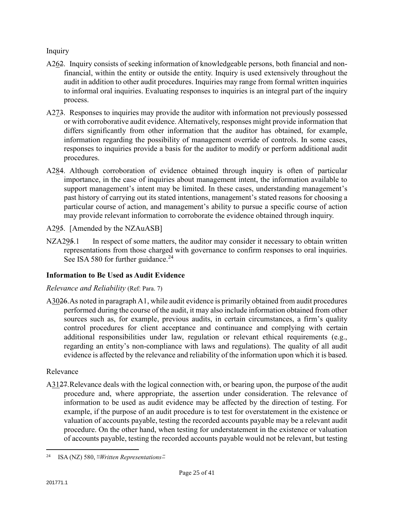### Inquiry

- A262. Inquiry consists of seeking information of knowledgeable persons, both financial and nonfinancial, within the entity or outside the entity. Inquiry is used extensively throughout the audit in addition to other audit procedures. Inquiries may range from formal written inquiries to informal oral inquiries. Evaluating responses to inquiries is an integral part of the inquiry process.
- A273. Responses to inquiries may provide the auditor with information not previously possessed or with corroborative audit evidence. Alternatively, responses might provide information that differs significantly from other information that the auditor has obtained, for example, information regarding the possibility of management override of controls. In some cases, responses to inquiries provide a basis for the auditor to modify or perform additional audit procedures.
- A284. Although corroboration of evidence obtained through inquiry is often of particular importance, in the case of inquiries about management intent, the information available to support management's intent may be limited. In these cases, understanding management's past history of carrying out its stated intentions, management's stated reasons for choosing a particular course of action, and management's ability to pursue a specific course of action may provide relevant information to corroborate the evidence obtained through inquiry.
- A295. [Amended by the NZAuASB]
- NZA295.1 In respect of some matters, the auditor may consider it necessary to obtain written representations from those charged with governance to confirm responses to oral inquiries. See ISA 580 for further guidance.<sup>24</sup>

## **Information to Be Used as Audit Evidence**

## *Relevance and Reliability* (Ref: Para. 7)

A3026.As noted in paragraph A1, while audit evidence is primarily obtained from audit procedures performed during the course of the audit, it may also include information obtained from other sources such as, for example, previous audits, in certain circumstances, a firm's quality control procedures for client acceptance and continuance and complying with certain additional responsibilities under law, regulation or relevant ethical requirements (e.g., regarding an entity's non-compliance with laws and regulations). The quality of all audit evidence is affected by the relevance and reliability of the information upon which it is based.

## Relevance

A3127.Relevance deals with the logical connection with, or bearing upon, the purpose of the audit procedure and, where appropriate, the assertion under consideration. The relevance of information to be used as audit evidence may be affected by the direction of testing. For example, if the purpose of an audit procedure is to test for overstatement in the existence or valuation of accounts payable, testing the recorded accounts payable may be a relevant audit procedure. On the other hand, when testing for understatement in the existence or valuation of accounts payable, testing the recorded accounts payable would not be relevant, but testing

<sup>24</sup> ISA (NZ) 580, "*Written Representations"*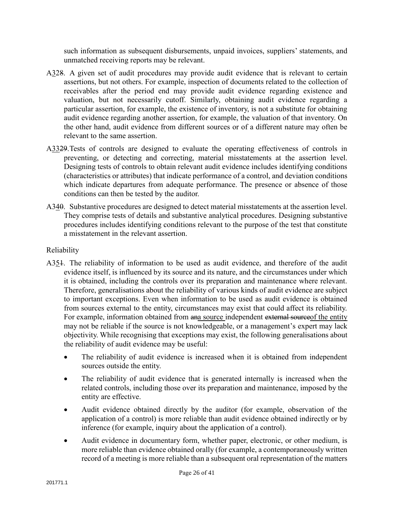such information as subsequent disbursements, unpaid invoices, suppliers' statements, and unmatched receiving reports may be relevant.

- A328. A given set of audit procedures may provide audit evidence that is relevant to certain assertions, but not others. For example, inspection of documents related to the collection of receivables after the period end may provide audit evidence regarding existence and valuation, but not necessarily cutoff. Similarly, obtaining audit evidence regarding a particular assertion, for example, the existence of inventory, is not a substitute for obtaining audit evidence regarding another assertion, for example, the valuation of that inventory. On the other hand, audit evidence from different sources or of a different nature may often be relevant to the same assertion.
- A3329.Tests of controls are designed to evaluate the operating effectiveness of controls in preventing, or detecting and correcting, material misstatements at the assertion level. Designing tests of controls to obtain relevant audit evidence includes identifying conditions (characteristics or attributes) that indicate performance of a control, and deviation conditions which indicate departures from adequate performance. The presence or absence of those conditions can then be tested by the auditor.
- A340. Substantive procedures are designed to detect material misstatements at the assertion level. They comprise tests of details and substantive analytical procedures. Designing substantive procedures includes identifying conditions relevant to the purpose of the test that constitute a misstatement in the relevant assertion.

### Reliability

- A351. The reliability of information to be used as audit evidence, and therefore of the audit evidence itself, is influenced by its source and its nature, and the circumstances under which it is obtained, including the controls over its preparation and maintenance where relevant. Therefore, generalisations about the reliability of various kinds of audit evidence are subject to important exceptions. Even when information to be used as audit evidence is obtained from sources external to the entity, circumstances may exist that could affect its reliability. For example, information obtained from ana source independent external source of the entity may not be reliable if the source is not knowledgeable, or a management's expert may lack objectivity. While recognising that exceptions may exist, the following generalisations about the reliability of audit evidence may be useful:
	- The reliability of audit evidence is increased when it is obtained from independent sources outside the entity.
	- The reliability of audit evidence that is generated internally is increased when the related controls, including those over its preparation and maintenance, imposed by the entity are effective.
	- Audit evidence obtained directly by the auditor (for example, observation of the application of a control) is more reliable than audit evidence obtained indirectly or by inference (for example, inquiry about the application of a control).
	- Audit evidence in documentary form, whether paper, electronic, or other medium, is more reliable than evidence obtained orally (for example, a contemporaneously written record of a meeting is more reliable than a subsequent oral representation of the matters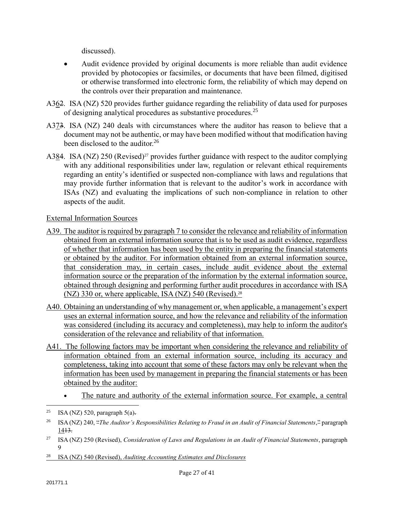discussed).

- Audit evidence provided by original documents is more reliable than audit evidence provided by photocopies or facsimiles, or documents that have been filmed, digitised or otherwise transformed into electronic form, the reliability of which may depend on the controls over their preparation and maintenance.
- A362. ISA (NZ) 520 provides further guidance regarding the reliability of data used for purposes of designing analytical procedures as substantive procedures.<sup>25</sup>
- A373. ISA (NZ) 240 deals with circumstances where the auditor has reason to believe that a document may not be authentic, or may have been modified without that modification having been disclosed to the auditor.<sup>26</sup>
- A384. ISA (NZ) 250 (Revised)<sup>27</sup> provides further guidance with respect to the auditor complying with any additional responsibilities under law, regulation or relevant ethical requirements regarding an entity's identified or suspected non-compliance with laws and regulations that may provide further information that is relevant to the auditor's work in accordance with ISAs (NZ) and evaluating the implications of such non-compliance in relation to other aspects of the audit.

### External Information Sources

- A39. The auditor is required by paragraph 7 to consider the relevance and reliability of information obtained from an external information source that is to be used as audit evidence, regardless of whether that information has been used by the entity in preparing the financial statements or obtained by the auditor. For information obtained from an external information source, that consideration may, in certain cases, include audit evidence about the external information source or the preparation of the information by the external information source, obtained through designing and performing further audit procedures in accordance with ISA (NZ) 330 or, where applicable, ISA (NZ) 540 (Revised).<sup>28</sup>
- A40. Obtaining an understanding of why management or, when applicable, a management's expert uses an external information source, and how the relevance and reliability of the information was considered (including its accuracy and completeness), may help to inform the auditor's consideration of the relevance and reliability of that information.
- A41. The following factors may be important when considering the relevance and reliability of information obtained from an external information source, including its accuracy and completeness, taking into account that some of these factors may only be relevant when the information has been used by management in preparing the financial statements or has been obtained by the auditor:
	- The nature and authority of the external information source. For example, a central

<sup>28</sup> ISA (NZ) 540 (Revised), *Auditing Accounting Estimates and Disclosures*

<sup>&</sup>lt;sup>25</sup> ISA (NZ) 520, paragraph  $5(a)$ .

<sup>&</sup>lt;sup>26</sup> ISA (NZ) 240, "*The Auditor's Responsibilities Relating to Fraud in an Audit of Financial Statements*," paragraph 1413.

<sup>27</sup> ISA (NZ) 250 (Revised), *Consideration of Laws and Regulations in an Audit of Financial Statements*, paragraph 9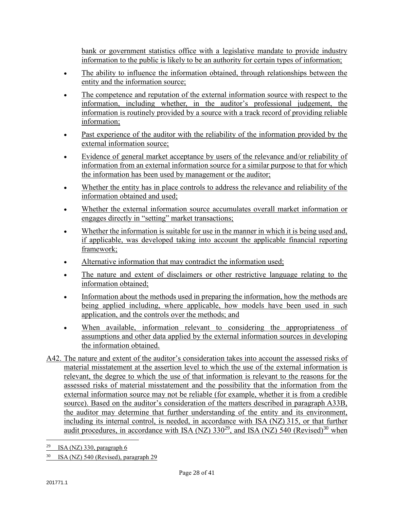bank or government statistics office with a legislative mandate to provide industry information to the public is likely to be an authority for certain types of information;

- The ability to influence the information obtained, through relationships between the entity and the information source;
- The competence and reputation of the external information source with respect to the information, including whether, in the auditor's professional judgement, the information is routinely provided by a source with a track record of providing reliable information;
- Past experience of the auditor with the reliability of the information provided by the external information source;
- Evidence of general market acceptance by users of the relevance and/or reliability of information from an external information source for a similar purpose to that for which the information has been used by management or the auditor;
- Whether the entity has in place controls to address the relevance and reliability of the information obtained and used;
- Whether the external information source accumulates overall market information or engages directly in "setting" market transactions;
- Whether the information is suitable for use in the manner in which it is being used and, if applicable, was developed taking into account the applicable financial reporting framework;
- Alternative information that may contradict the information used;
- The nature and extent of disclaimers or other restrictive language relating to the information obtained;
- Information about the methods used in preparing the information, how the methods are being applied including, where applicable, how models have been used in such application, and the controls over the methods; and
- When available, information relevant to considering the appropriateness of assumptions and other data applied by the external information sources in developing the information obtained.
- A42. The nature and extent of the auditor's consideration takes into account the assessed risks of material misstatement at the assertion level to which the use of the external information is relevant, the degree to which the use of that information is relevant to the reasons for the assessed risks of material misstatement and the possibility that the information from the external information source may not be reliable (for example, whether it is from a credible source). Based on the auditor's consideration of the matters described in paragraph A33B, the auditor may determine that further understanding of the entity and its environment, including its internal control, is needed, in accordance with ISA (NZ) 315, or that further audit procedures, in accordance with ISA (NZ)  $330^{29}$ , and ISA (NZ) 540 (Revised)<sup>30</sup> when

<sup>&</sup>lt;sup>29</sup> ISA (NZ) 330, paragraph 6

<sup>30</sup> ISA (NZ) 540 (Revised), paragraph 29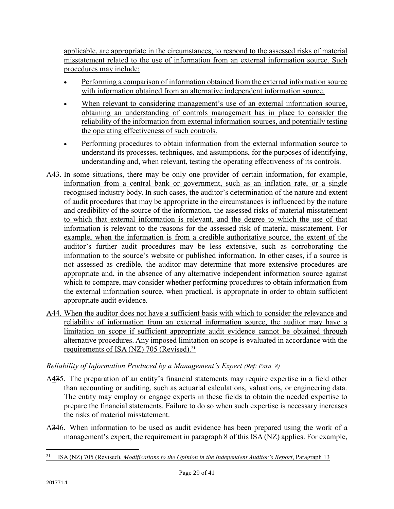applicable, are appropriate in the circumstances, to respond to the assessed risks of material misstatement related to the use of information from an external information source. Such procedures may include:

- Performing a comparison of information obtained from the external information source with information obtained from an alternative independent information source.
- When relevant to considering management's use of an external information source, obtaining an understanding of controls management has in place to consider the reliability of the information from external information sources, and potentially testing the operating effectiveness of such controls.
- Performing procedures to obtain information from the external information source to understand its processes, techniques, and assumptions, for the purposes of identifying, understanding and, when relevant, testing the operating effectiveness of its controls.
- A43. In some situations, there may be only one provider of certain information, for example, information from a central bank or government, such as an inflation rate, or a single recognised industry body. In such cases, the auditor's determination of the nature and extent of audit procedures that may be appropriate in the circumstances is influenced by the nature and credibility of the source of the information, the assessed risks of material misstatement to which that external information is relevant, and the degree to which the use of that information is relevant to the reasons for the assessed risk of material misstatement. For example, when the information is from a credible authoritative source, the extent of the auditor's further audit procedures may be less extensive, such as corroborating the information to the source's website or published information. In other cases, if a source is not assessed as credible, the auditor may determine that more extensive procedures are appropriate and, in the absence of any alternative independent information source against which to compare, may consider whether performing procedures to obtain information from the external information source, when practical, is appropriate in order to obtain sufficient appropriate audit evidence.
- A44. When the auditor does not have a sufficient basis with which to consider the relevance and reliability of information from an external information source, the auditor may have a limitation on scope if sufficient appropriate audit evidence cannot be obtained through alternative procedures. Any imposed limitation on scope is evaluated in accordance with the requirements of ISA (NZ) 705 (Revised).<sup>31</sup>

## *Reliability of Information Produced by a Management's Expert (Ref: Para. 8)*

- A435. The preparation of an entity's financial statements may require expertise in a field other than accounting or auditing, such as actuarial calculations, valuations, or engineering data. The entity may employ or engage experts in these fields to obtain the needed expertise to prepare the financial statements. Failure to do so when such expertise is necessary increases the risks of material misstatement.
- A346. When information to be used as audit evidence has been prepared using the work of a management's expert, the requirement in paragraph 8 of this ISA (NZ) applies. For example,

 $\overline{a}$ <sup>31</sup> ISA (NZ) 705 (Revised), *Modifications to the Opinion in the Independent Auditor's Report*, Paragraph 13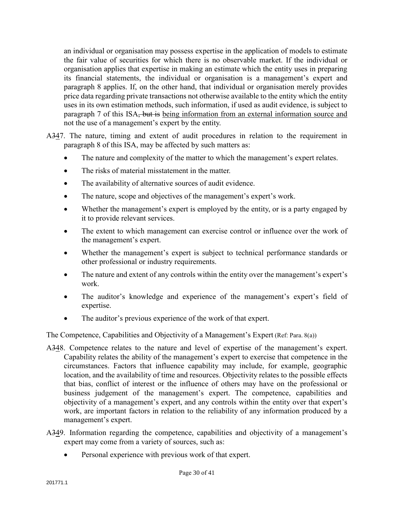an individual or organisation may possess expertise in the application of models to estimate the fair value of securities for which there is no observable market. If the individual or organisation applies that expertise in making an estimate which the entity uses in preparing its financial statements, the individual or organisation is a management's expert and paragraph 8 applies. If, on the other hand, that individual or organisation merely provides price data regarding private transactions not otherwise available to the entity which the entity uses in its own estimation methods, such information, if used as audit evidence, is subject to paragraph 7 of this ISA, but is being information from an external information source and not the use of a management's expert by the entity.

- A347. The nature, timing and extent of audit procedures in relation to the requirement in paragraph 8 of this ISA, may be affected by such matters as:
	- The nature and complexity of the matter to which the management's expert relates.
	- The risks of material misstatement in the matter.
	- The availability of alternative sources of audit evidence.
	- The nature, scope and objectives of the management's expert's work.
	- Whether the management's expert is employed by the entity, or is a party engaged by it to provide relevant services.
	- The extent to which management can exercise control or influence over the work of the management's expert.
	- Whether the management's expert is subject to technical performance standards or other professional or industry requirements.
	- The nature and extent of any controls within the entity over the management's expert's work.
	- The auditor's knowledge and experience of the management's expert's field of expertise.
	- The auditor's previous experience of the work of that expert.

The Competence, Capabilities and Objectivity of a Management's Expert (Ref: Para. 8(a))

- A348. Competence relates to the nature and level of expertise of the management's expert. Capability relates the ability of the management's expert to exercise that competence in the circumstances. Factors that influence capability may include, for example, geographic location, and the availability of time and resources. Objectivity relates to the possible effects that bias, conflict of interest or the influence of others may have on the professional or business judgement of the management's expert. The competence, capabilities and objectivity of a management's expert, and any controls within the entity over that expert's work, are important factors in relation to the reliability of any information produced by a management's expert.
- A349. Information regarding the competence, capabilities and objectivity of a management's expert may come from a variety of sources, such as:
	- Personal experience with previous work of that expert.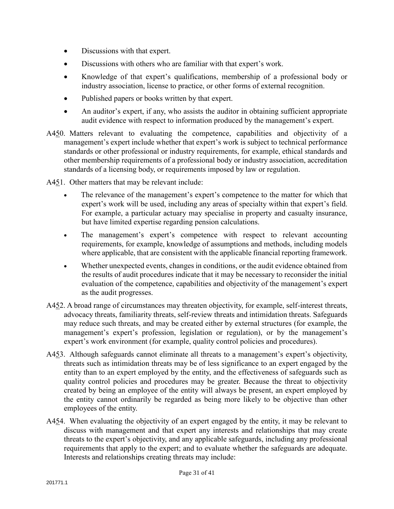- Discussions with that expert.
- Discussions with others who are familiar with that expert's work.
- Knowledge of that expert's qualifications, membership of a professional body or industry association, license to practice, or other forms of external recognition.
- Published papers or books written by that expert.
- An auditor's expert, if any, who assists the auditor in obtaining sufficient appropriate audit evidence with respect to information produced by the management's expert.
- A450. Matters relevant to evaluating the competence, capabilities and objectivity of a management's expert include whether that expert's work is subject to technical performance standards or other professional or industry requirements, for example, ethical standards and other membership requirements of a professional body or industry association, accreditation standards of a licensing body, or requirements imposed by law or regulation.
- A451. Other matters that may be relevant include:
	- The relevance of the management's expert's competence to the matter for which that expert's work will be used, including any areas of specialty within that expert's field. For example, a particular actuary may specialise in property and casualty insurance, but have limited expertise regarding pension calculations.
	- The management's expert's competence with respect to relevant accounting requirements, for example, knowledge of assumptions and methods, including models where applicable, that are consistent with the applicable financial reporting framework.
	- Whether unexpected events, changes in conditions, or the audit evidence obtained from the results of audit procedures indicate that it may be necessary to reconsider the initial evaluation of the competence, capabilities and objectivity of the management's expert as the audit progresses.
- A452. A broad range of circumstances may threaten objectivity, for example, self-interest threats, advocacy threats, familiarity threats, self-review threats and intimidation threats. Safeguards may reduce such threats, and may be created either by external structures (for example, the management's expert's profession, legislation or regulation), or by the management's expert's work environment (for example, quality control policies and procedures).
- A453. Although safeguards cannot eliminate all threats to a management's expert's objectivity, threats such as intimidation threats may be of less significance to an expert engaged by the entity than to an expert employed by the entity, and the effectiveness of safeguards such as quality control policies and procedures may be greater. Because the threat to objectivity created by being an employee of the entity will always be present, an expert employed by the entity cannot ordinarily be regarded as being more likely to be objective than other employees of the entity.
- A454. When evaluating the objectivity of an expert engaged by the entity, it may be relevant to discuss with management and that expert any interests and relationships that may create threats to the expert's objectivity, and any applicable safeguards, including any professional requirements that apply to the expert; and to evaluate whether the safeguards are adequate. Interests and relationships creating threats may include: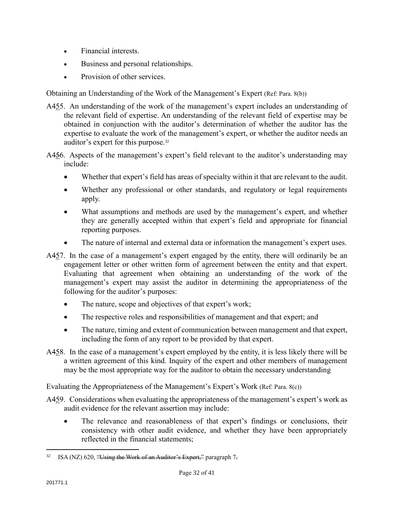- Financial interests.
- Business and personal relationships.
- Provision of other services.

Obtaining an Understanding of the Work of the Management's Expert (Ref: Para. 8(b))

- A455. An understanding of the work of the management's expert includes an understanding of the relevant field of expertise. An understanding of the relevant field of expertise may be obtained in conjunction with the auditor's determination of whether the auditor has the expertise to evaluate the work of the management's expert, or whether the auditor needs an auditor's expert for this purpose.<sup>32</sup>
- A456. Aspects of the management's expert's field relevant to the auditor's understanding may include:
	- Whether that expert's field has areas of specialty within it that are relevant to the audit.
	- Whether any professional or other standards, and regulatory or legal requirements apply.
	- What assumptions and methods are used by the management's expert, and whether they are generally accepted within that expert's field and appropriate for financial reporting purposes.
	- The nature of internal and external data or information the management's expert uses.
- A457. In the case of a management's expert engaged by the entity, there will ordinarily be an engagement letter or other written form of agreement between the entity and that expert. Evaluating that agreement when obtaining an understanding of the work of the management's expert may assist the auditor in determining the appropriateness of the following for the auditor's purposes:
	- The nature, scope and objectives of that expert's work;
	- The respective roles and responsibilities of management and that expert; and
	- The nature, timing and extent of communication between management and that expert, including the form of any report to be provided by that expert.
- A458. In the case of a management's expert employed by the entity, it is less likely there will be a written agreement of this kind. Inquiry of the expert and other members of management may be the most appropriate way for the auditor to obtain the necessary understanding

Evaluating the Appropriateness of the Management's Expert's Work (Ref: Para. 8(c))

- A459. Considerations when evaluating the appropriateness of the management's expert's work as audit evidence for the relevant assertion may include:
	- The relevance and reasonableness of that expert's findings or conclusions, their consistency with other audit evidence, and whether they have been appropriately reflected in the financial statements;

 $32$  ISA (NZ) 620, "Using the Work of an Auditor's Expert," paragraph 7.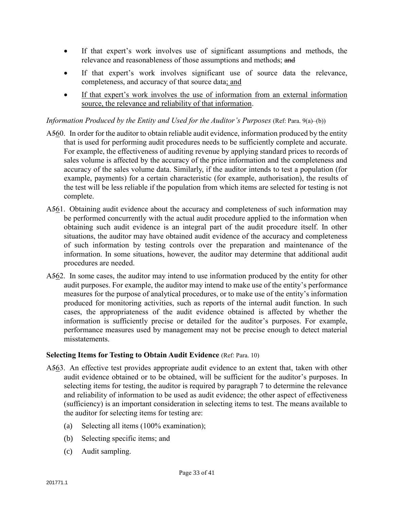- If that expert's work involves use of significant assumptions and methods, the relevance and reasonableness of those assumptions and methods; and
- If that expert's work involves significant use of source data the relevance, completeness, and accuracy of that source data; and
- If that expert's work involves the use of information from an external information source, the relevance and reliability of that information.

#### *Information Produced by the Entity and Used for the Auditor's Purposes* (Ref: Para. 9(a)–(b))

- A560. In order for the auditor to obtain reliable audit evidence, information produced by the entity that is used for performing audit procedures needs to be sufficiently complete and accurate. For example, the effectiveness of auditing revenue by applying standard prices to records of sales volume is affected by the accuracy of the price information and the completeness and accuracy of the sales volume data. Similarly, if the auditor intends to test a population (for example, payments) for a certain characteristic (for example, authorisation), the results of the test will be less reliable if the population from which items are selected for testing is not complete.
- A561. Obtaining audit evidence about the accuracy and completeness of such information may be performed concurrently with the actual audit procedure applied to the information when obtaining such audit evidence is an integral part of the audit procedure itself. In other situations, the auditor may have obtained audit evidence of the accuracy and completeness of such information by testing controls over the preparation and maintenance of the information. In some situations, however, the auditor may determine that additional audit procedures are needed.
- A562. In some cases, the auditor may intend to use information produced by the entity for other audit purposes. For example, the auditor may intend to make use of the entity's performance measures for the purpose of analytical procedures, or to make use of the entity's information produced for monitoring activities, such as reports of the internal audit function. In such cases, the appropriateness of the audit evidence obtained is affected by whether the information is sufficiently precise or detailed for the auditor's purposes. For example, performance measures used by management may not be precise enough to detect material misstatements.

#### **Selecting Items for Testing to Obtain Audit Evidence (Ref: Para. 10)**

- A563. An effective test provides appropriate audit evidence to an extent that, taken with other audit evidence obtained or to be obtained, will be sufficient for the auditor's purposes. In selecting items for testing, the auditor is required by paragraph 7 to determine the relevance and reliability of information to be used as audit evidence; the other aspect of effectiveness (sufficiency) is an important consideration in selecting items to test. The means available to the auditor for selecting items for testing are:
	- (a) Selecting all items (100% examination);
	- (b) Selecting specific items; and
	- (c) Audit sampling.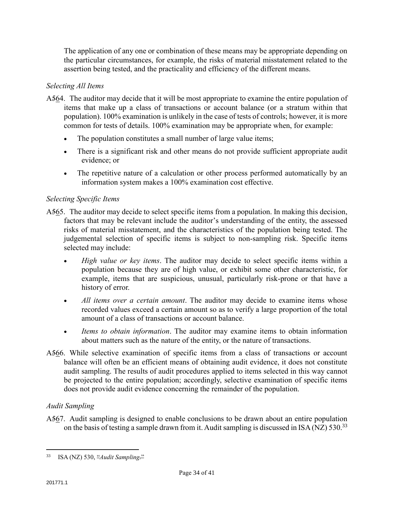The application of any one or combination of these means may be appropriate depending on the particular circumstances, for example, the risks of material misstatement related to the assertion being tested, and the practicality and efficiency of the different means.

## *Selecting All Items*

- A564. The auditor may decide that it will be most appropriate to examine the entire population of items that make up a class of transactions or account balance (or a stratum within that population). 100% examination is unlikely in the case of tests of controls; however, it is more common for tests of details. 100% examination may be appropriate when, for example:
	- The population constitutes a small number of large value items;
	- There is a significant risk and other means do not provide sufficient appropriate audit evidence; or
	- The repetitive nature of a calculation or other process performed automatically by an information system makes a 100% examination cost effective.

### *Selecting Specific Items*

- A565. The auditor may decide to select specific items from a population. In making this decision, factors that may be relevant include the auditor's understanding of the entity, the assessed risks of material misstatement, and the characteristics of the population being tested. The judgemental selection of specific items is subject to non-sampling risk. Specific items selected may include:
	- *High value or key items*. The auditor may decide to select specific items within a population because they are of high value, or exhibit some other characteristic, for example, items that are suspicious, unusual, particularly risk-prone or that have a history of error.
	- *All items over a certain amount*. The auditor may decide to examine items whose recorded values exceed a certain amount so as to verify a large proportion of the total amount of a class of transactions or account balance.
	- *Items to obtain information*. The auditor may examine items to obtain information about matters such as the nature of the entity, or the nature of transactions.
- A566. While selective examination of specific items from a class of transactions or account balance will often be an efficient means of obtaining audit evidence, it does not constitute audit sampling. The results of audit procedures applied to items selected in this way cannot be projected to the entire population; accordingly, selective examination of specific items does not provide audit evidence concerning the remainder of the population.

#### *Audit Sampling*

A567. Audit sampling is designed to enable conclusions to be drawn about an entire population on the basis of testing a sample drawn from it. Audit sampling is discussed in ISA (NZ)  $530^{33}$ 

<sup>33</sup> ISA (NZ) 530, "*Audit Sampling.*"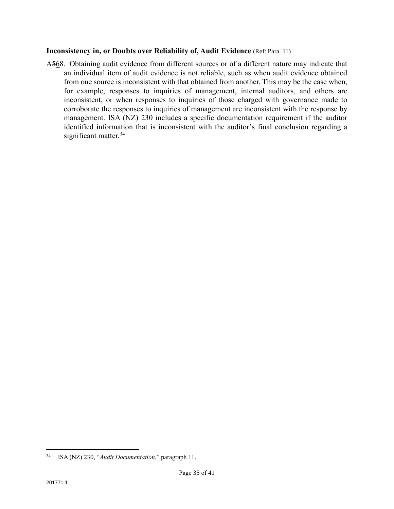#### **Inconsistency in, or Doubts over Reliability of, Audit Evidence** (Ref: Para. 11)

A568. Obtaining audit evidence from different sources or of a different nature may indicate that an individual item of audit evidence is not reliable, such as when audit evidence obtained from one source is inconsistent with that obtained from another. This may be the case when, for example, responses to inquiries of management, internal auditors, and others are inconsistent, or when responses to inquiries of those charged with governance made to corroborate the responses to inquiries of management are inconsistent with the response by management. ISA (NZ) 230 includes a specific documentation requirement if the auditor identified information that is inconsistent with the auditor's final conclusion regarding a significant matter.<sup>34</sup>

<sup>34</sup> ISA (NZ) 230, "*Audit Documentation*," paragraph 11.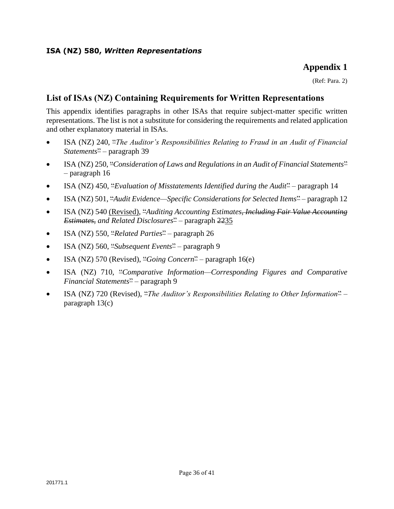## **ISA (NZ) 580,** *Written Representations*

## **Appendix 1**

(Ref: Para. 2)

## **List of ISAs (NZ) Containing Requirements for Written Representations**

This appendix identifies paragraphs in other ISAs that require subject-matter specific written representations. The list is not a substitute for considering the requirements and related application and other explanatory material in ISAs.

- ISA (NZ) 240, "*The Auditor's Responsibilities Relating to Fraud in an Audit of Financial Statements*" – paragraph 39
- ISA (NZ) 250, "Consideration of Laws and Regulations in an Audit of Financial Statements" – paragraph 16
- ISA (NZ) 450, "*Evaluation of Misstatements Identified during the Audit*" paragraph 14
- ISA (NZ) 501, "*Audit Evidence—Specific Considerations for Selected Items*" paragraph 12
- **ISA (NZ) 540 <u>(Revised)</u>, "***Auditing Accounting Estimates<del>, Including Fair Value Accounting</del> Estimates, and Related Disclosures*" – paragraph 2235
- **ISA (NZ) 550, "***Related Parties*" paragraph 26
- ISA (NZ) 560, "*Subsequent Events*" paragraph 9
- ISA (NZ) 570 (Revised), "*Going Concern*" paragraph 16(e)
- ISA (NZ) 710, "Comparative Information—Corresponding Figures and Comparative *Financial Statements*" – paragraph 9
- ISA (NZ) 720 (Revised), "*The Auditor's Responsibilities Relating to Other Information*" paragraph 13(c)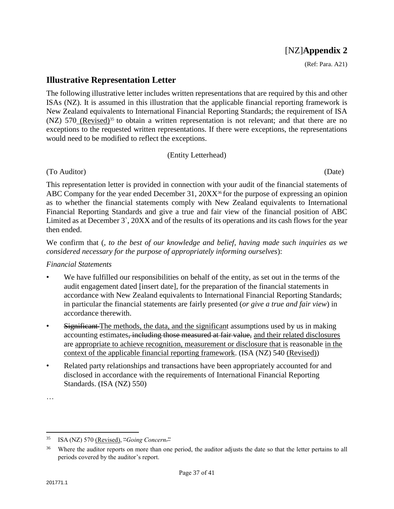# [NZ]**Appendix 2**

(Ref: Para. A21)

## **Illustrative Representation Letter**

The following illustrative letter includes written representations that are required by this and other ISAs (NZ). It is assumed in this illustration that the applicable financial reporting framework is New Zealand equivalents to International Financial Reporting Standards; the requirement of ISA (NZ) 570 (Revised)<sup>35</sup> to obtain a written representation is not relevant; and that there are no exceptions to the requested written representations. If there were exceptions, the representations would need to be modified to reflect the exceptions.

#### (Entity Letterhead)

(To Auditor) (Date)

This representation letter is provided in connection with your audit of the financial statements of ABC Company for the year ended December 31, 20XX<sup>36</sup> for the purpose of expressing an opinion as to whether the financial statements comply with New Zealand equivalents to International Financial Reporting Standards and give a true and fair view of the financial position of ABC Limited as at December 3`, 20XX and of the results of its operations and its cash flows for the year then ended.

We confirm that (*, to the best of our knowledge and belief, having made such inquiries as we considered necessary for the purpose of appropriately informing ourselves*):

#### *Financial Statements*

- We have fulfilled our responsibilities on behalf of the entity, as set out in the terms of the audit engagement dated [insert date], for the preparation of the financial statements in accordance with New Zealand equivalents to International Financial Reporting Standards; in particular the financial statements are fairly presented (*or give a true and fair view*) in accordance therewith.
- Significant The methods, the data, and the significant assumptions used by us in making accounting estimates, including those measured at fair value, and their related disclosures are appropriate to achieve recognition, measurement or disclosure that is reasonable in the context of the applicable financial reporting framework. (ISA (NZ) 540 (Revised))
- Related party relationships and transactions have been appropriately accounted for and disclosed in accordance with the requirements of International Financial Reporting Standards. (ISA (NZ) 550)

<sup>…</sup>

<sup>&</sup>lt;sup>35</sup> ISA (NZ) 570 (Revised), "*Going Concern*."

<sup>&</sup>lt;sup>36</sup> Where the auditor reports on more than one period, the auditor adjusts the date so that the letter pertains to all periods covered by the auditor's report.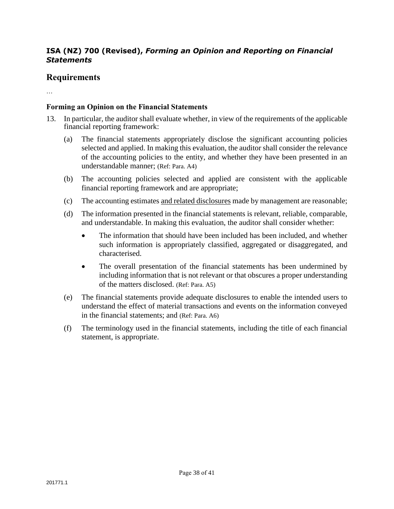## **ISA (NZ) 700 (Revised),** *Forming an Opinion and Reporting on Financial Statements*

## **Requirements**

…

## **Forming an Opinion on the Financial Statements**

- 13. In particular, the auditor shall evaluate whether, in view of the requirements of the applicable financial reporting framework:
	- (a) The financial statements appropriately disclose the significant accounting policies selected and applied. In making this evaluation, the auditor shall consider the relevance of the accounting policies to the entity, and whether they have been presented in an understandable manner; (Ref: Para. A4)
	- (b) The accounting policies selected and applied are consistent with the applicable financial reporting framework and are appropriate;
	- (c) The accounting estimates and related disclosures made by management are reasonable;
	- (d) The information presented in the financial statements is relevant, reliable, comparable, and understandable. In making this evaluation, the auditor shall consider whether:
		- The information that should have been included has been included, and whether such information is appropriately classified, aggregated or disaggregated, and characterised.
		- The overall presentation of the financial statements has been undermined by including information that is not relevant or that obscures a proper understanding of the matters disclosed. (Ref: Para. A5)
	- (e) The financial statements provide adequate disclosures to enable the intended users to understand the effect of material transactions and events on the information conveyed in the financial statements; and (Ref: Para. A6)
	- (f) The terminology used in the financial statements, including the title of each financial statement, is appropriate.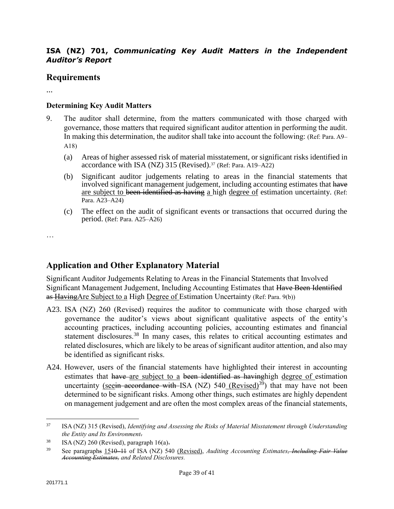## **ISA (NZ) 701,** *Communicating Key Audit Matters in the Independent Auditor's Report*

## **Requirements**

**…**

### **Determining Key Audit Matters**

- 9. The auditor shall determine, from the matters communicated with those charged with governance, those matters that required significant auditor attention in performing the audit. In making this determination, the auditor shall take into account the following: (Ref: Para. A9– A18)
	- (a) Areas of higher assessed risk of material misstatement, or significant risks identified in accordance with ISA (NZ) 315 (Revised).<sup>37</sup> (Ref: Para. A19–A22)
	- (b) Significant auditor judgements relating to areas in the financial statements that involved significant management judgement, including accounting estimates that have are subject to been identified as having a high degree of estimation uncertainty. (Ref: Para. A23–A24)
	- (c) The effect on the audit of significant events or transactions that occurred during the period. (Ref: Para. A25–A26)

…

## **Application and Other Explanatory Material**

Significant Auditor Judgements Relating to Areas in the Financial Statements that Involved Significant Management Judgement, Including Accounting Estimates that Have Been Identified as HavingAre Subject to a High Degree of Estimation Uncertainty (Ref: Para. 9(b))

- A23. ISA (NZ) 260 (Revised) requires the auditor to communicate with those charged with governance the auditor's views about significant qualitative aspects of the entity's accounting practices, including accounting policies, accounting estimates and financial statement disclosures.<sup>38</sup> In many cases, this relates to critical accounting estimates and related disclosures, which are likely to be areas of significant auditor attention, and also may be identified as significant risks.
- A24. However, users of the financial statements have highlighted their interest in accounting estimates that have are subject to a been identified as having high degree of estimation uncertainty (seein accordance with ISA (NZ) 540 (Revised)<sup>39</sup>) that may have not been determined to be significant risks. Among other things, such estimates are highly dependent on management judgement and are often the most complex areas of the financial statements,

<sup>37</sup> <sup>37</sup> ISA (NZ) 315 (Revised), *Identifying and Assessing the Risks of Material Misstatement through Understanding the Entity and Its Environment*.

 $38$  ISA (NZ) 260 (Revised), paragraph 16(a).

<sup>39</sup> See paragraphs 1510–11 of ISA (NZ) 540 (Revised), *Auditing Accounting Estimates, Including Fair Value Accounting Estimates, and Related Disclosures.*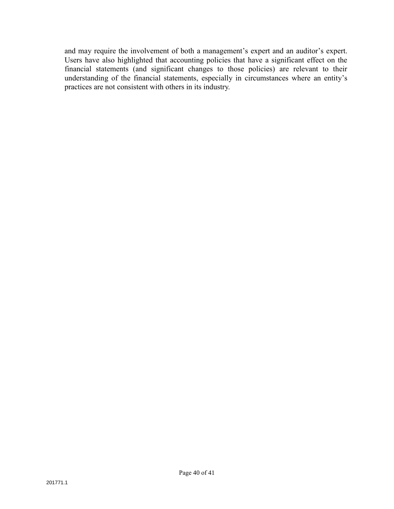and may require the involvement of both a management's expert and an auditor's expert. Users have also highlighted that accounting policies that have a significant effect on the financial statements (and significant changes to those policies) are relevant to their understanding of the financial statements, especially in circumstances where an entity's practices are not consistent with others in its industry.